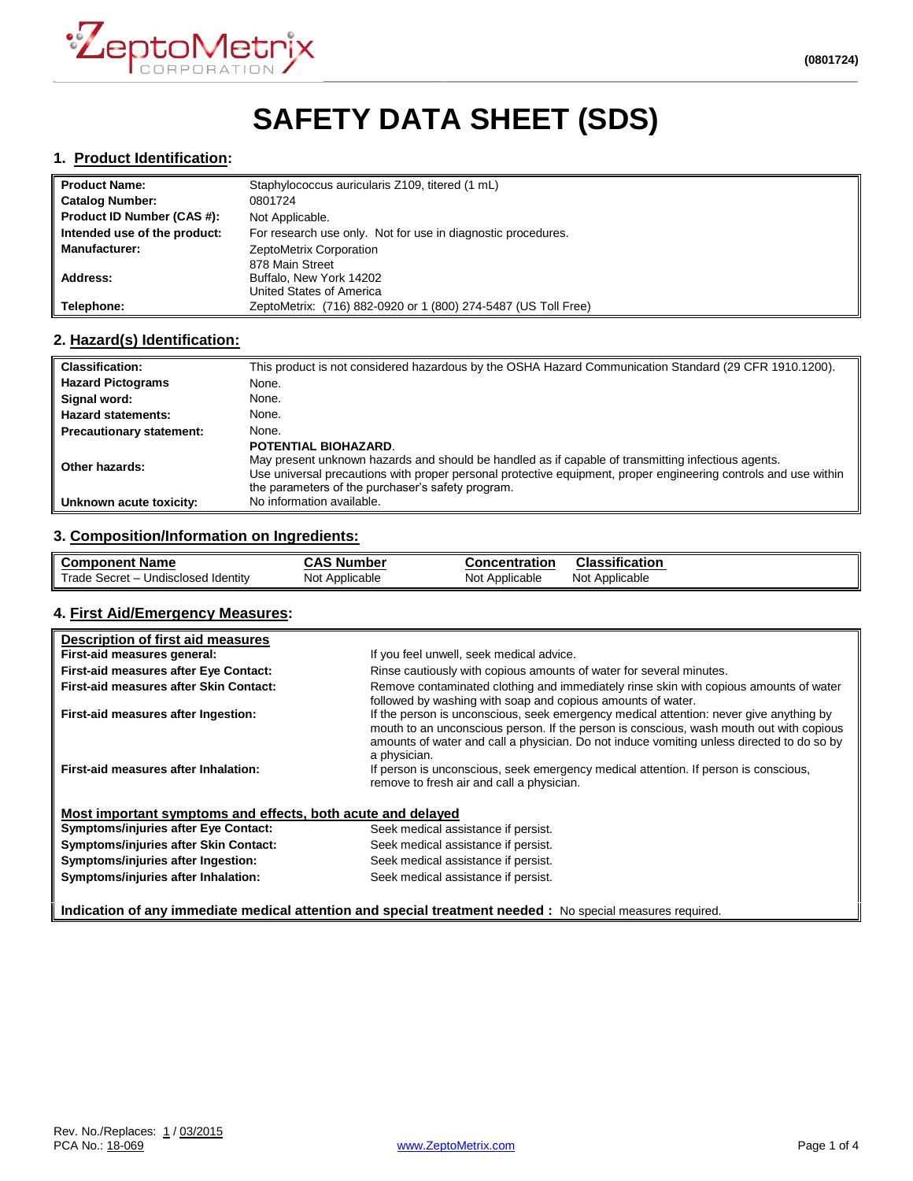

# **SAFETY DATA SHEET (SDS)**

### **1. Product Identification:**

| <b>Product Name:</b>         | Staphylococcus auricularis Z109, titered (1 mL)                |  |
|------------------------------|----------------------------------------------------------------|--|
| <b>Catalog Number:</b>       | 0801724                                                        |  |
| Product ID Number (CAS #):   | Not Applicable.                                                |  |
| Intended use of the product: | For research use only. Not for use in diagnostic procedures.   |  |
| <b>Manufacturer:</b>         | ZeptoMetrix Corporation                                        |  |
|                              | 878 Main Street                                                |  |
| Address:                     | Buffalo, New York 14202                                        |  |
|                              | United States of America                                       |  |
| Telephone:                   | ZeptoMetrix: (716) 882-0920 or 1 (800) 274-5487 (US Toll Free) |  |

#### **2. Hazard(s) Identification:**

| <b>Classification:</b>          | This product is not considered hazardous by the OSHA Hazard Communication Standard (29 CFR 1910.1200).                                                                                                                                                                                             |
|---------------------------------|----------------------------------------------------------------------------------------------------------------------------------------------------------------------------------------------------------------------------------------------------------------------------------------------------|
| <b>Hazard Pictograms</b>        | None.                                                                                                                                                                                                                                                                                              |
| Signal word:                    | None.                                                                                                                                                                                                                                                                                              |
| <b>Hazard statements:</b>       | None.                                                                                                                                                                                                                                                                                              |
| <b>Precautionary statement:</b> | None.                                                                                                                                                                                                                                                                                              |
| Other hazards:                  | POTENTIAL BIOHAZARD.<br>May present unknown hazards and should be handled as if capable of transmitting infectious agents.<br>Use universal precautions with proper personal protective equipment, proper engineering controls and use within<br>the parameters of the purchaser's safety program. |
| Unknown acute toxicity:         | No information available.                                                                                                                                                                                                                                                                          |

# **3. Composition/Information on Ingredients:**

| ll Component Name                   | <b>CAS Number</b> | Concentration  | Classification      |
|-------------------------------------|-------------------|----------------|---------------------|
| Trade Secret - Undisclosed Identity | Not Applicable    | Not Applicable | ، Not<br>Applicable |

#### **4. First Aid/Emergency Measures:**

| Description of first aid measures                           |                                                                                                                                                                                                                                                                                                |
|-------------------------------------------------------------|------------------------------------------------------------------------------------------------------------------------------------------------------------------------------------------------------------------------------------------------------------------------------------------------|
| First-aid measures general:                                 | If you feel unwell, seek medical advice.                                                                                                                                                                                                                                                       |
| First-aid measures after Eye Contact:                       | Rinse cautiously with copious amounts of water for several minutes.                                                                                                                                                                                                                            |
| First-aid measures after Skin Contact:                      | Remove contaminated clothing and immediately rinse skin with copious amounts of water<br>followed by washing with soap and copious amounts of water.                                                                                                                                           |
| First-aid measures after Ingestion:                         | If the person is unconscious, seek emergency medical attention: never give anything by<br>mouth to an unconscious person. If the person is conscious, wash mouth out with copious<br>amounts of water and call a physician. Do not induce vomiting unless directed to do so by<br>a physician. |
| First-aid measures after Inhalation:                        | If person is unconscious, seek emergency medical attention. If person is conscious,<br>remove to fresh air and call a physician.                                                                                                                                                               |
| Most important symptoms and effects, both acute and delayed |                                                                                                                                                                                                                                                                                                |
| <b>Symptoms/injuries after Eye Contact:</b>                 | Seek medical assistance if persist.                                                                                                                                                                                                                                                            |
| Symptoms/injuries after Skin Contact:                       | Seek medical assistance if persist.                                                                                                                                                                                                                                                            |
| Symptoms/injuries after Ingestion:                          | Seek medical assistance if persist.                                                                                                                                                                                                                                                            |
| Symptoms/injuries after Inhalation:                         | Seek medical assistance if persist.                                                                                                                                                                                                                                                            |
|                                                             | Indication of any immediate medical attention and special treatment needed : No special measures required.                                                                                                                                                                                     |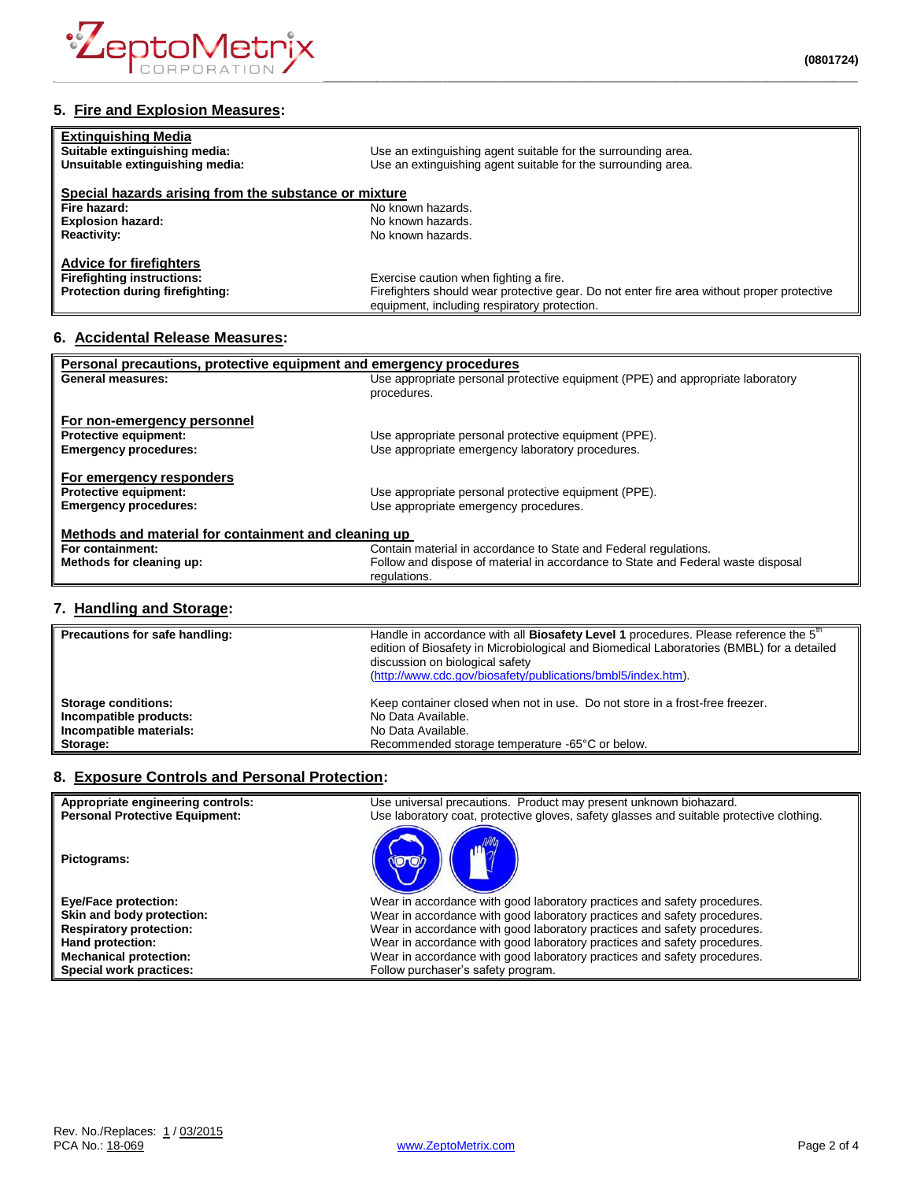

## **5. Fire and Explosion Measures:**

| <b>Extinguishing Media</b><br>Suitable extinguishing media:<br>Unsuitable extinguishing media:         | Use an extinguishing agent suitable for the surrounding area.<br>Use an extinguishing agent suitable for the surrounding area.                                                       |
|--------------------------------------------------------------------------------------------------------|--------------------------------------------------------------------------------------------------------------------------------------------------------------------------------------|
| Special hazards arising from the substance or mixture                                                  |                                                                                                                                                                                      |
| Fire hazard:                                                                                           | No known hazards.                                                                                                                                                                    |
| <b>Explosion hazard:</b>                                                                               | No known hazards.                                                                                                                                                                    |
| <b>Reactivity:</b>                                                                                     | No known hazards.                                                                                                                                                                    |
| <b>Advice for firefighters</b><br><b>Firefighting instructions:</b><br>Protection during firefighting: | Exercise caution when fighting a fire.<br>Firefighters should wear protective gear. Do not enter fire area without proper protective<br>equipment, including respiratory protection. |

## **6. Accidental Release Measures:**

| Personal precautions, protective equipment and emergency procedures |                                                                                  |  |
|---------------------------------------------------------------------|----------------------------------------------------------------------------------|--|
| <b>General measures:</b>                                            | Use appropriate personal protective equipment (PPE) and appropriate laboratory   |  |
|                                                                     | procedures.                                                                      |  |
|                                                                     |                                                                                  |  |
| For non-emergency personnel                                         |                                                                                  |  |
| Protective equipment:                                               | Use appropriate personal protective equipment (PPE).                             |  |
| <b>Emergency procedures:</b>                                        | Use appropriate emergency laboratory procedures.                                 |  |
|                                                                     |                                                                                  |  |
| For emergency responders                                            |                                                                                  |  |
| <b>Protective equipment:</b>                                        | Use appropriate personal protective equipment (PPE).                             |  |
| <b>Emergency procedures:</b>                                        | Use appropriate emergency procedures.                                            |  |
|                                                                     |                                                                                  |  |
| Methods and material for containment and cleaning up                |                                                                                  |  |
| For containment:                                                    | Contain material in accordance to State and Federal regulations.                 |  |
| Methods for cleaning up:                                            | Follow and dispose of material in accordance to State and Federal waste disposal |  |
|                                                                     | regulations.                                                                     |  |
|                                                                     |                                                                                  |  |

## **7. Handling and Storage:**

| Precautions for safe handling: | Handle in accordance with all Biosafety Level 1 procedures. Please reference the 5 <sup>th</sup><br>edition of Biosafety in Microbiological and Biomedical Laboratories (BMBL) for a detailed<br>discussion on biological safety<br>(http://www.cdc.gov/biosafety/publications/bmbl5/index.htm). |
|--------------------------------|--------------------------------------------------------------------------------------------------------------------------------------------------------------------------------------------------------------------------------------------------------------------------------------------------|
| <b>Storage conditions:</b>     | Keep container closed when not in use. Do not store in a frost-free freezer.                                                                                                                                                                                                                     |
| Incompatible products:         | No Data Available.                                                                                                                                                                                                                                                                               |
| Incompatible materials:        | No Data Available.                                                                                                                                                                                                                                                                               |
| Storage:                       | Recommended storage temperature -65°C or below.                                                                                                                                                                                                                                                  |

## **8. Exposure Controls and Personal Protection:**

| Appropriate engineering controls:     | Use universal precautions. Product may present unknown biohazard.                        |
|---------------------------------------|------------------------------------------------------------------------------------------|
| <b>Personal Protective Equipment:</b> | Use laboratory coat, protective gloves, safety glasses and suitable protective clothing. |
| Pictograms:                           |                                                                                          |
| <b>Eye/Face protection:</b>           | Wear in accordance with good laboratory practices and safety procedures.                 |
| Skin and body protection:             | Wear in accordance with good laboratory practices and safety procedures.                 |
| <b>Respiratory protection:</b>        | Wear in accordance with good laboratory practices and safety procedures.                 |
| Hand protection:                      | Wear in accordance with good laboratory practices and safety procedures.                 |
| <b>Mechanical protection:</b>         | Wear in accordance with good laboratory practices and safety procedures.                 |
| Special work practices:               | Follow purchaser's safety program.                                                       |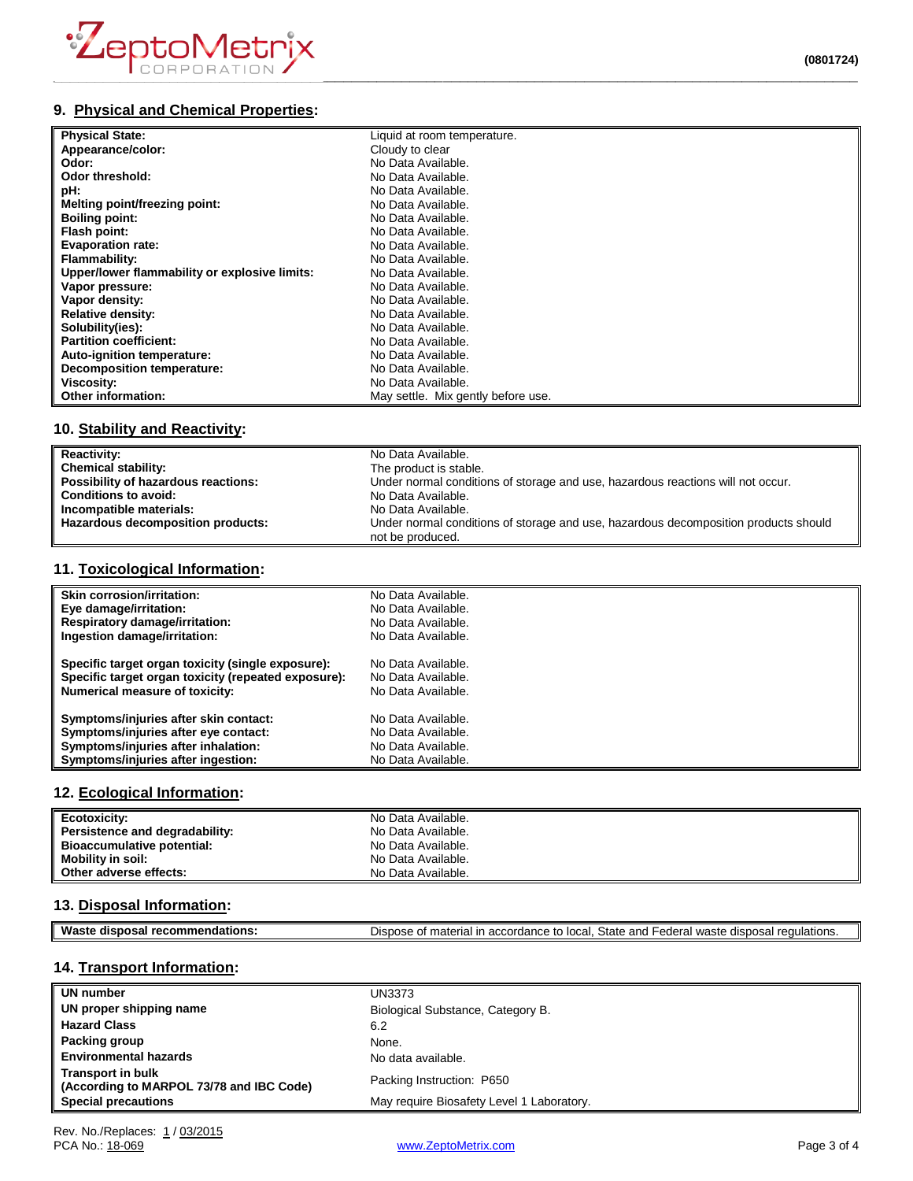

# **9. Physical and Chemical Properties:**

| <b>Physical State:</b>                        | Liquid at room temperature.        |
|-----------------------------------------------|------------------------------------|
| Appearance/color:                             | Cloudy to clear                    |
| Odor:                                         | No Data Available.                 |
| Odor threshold:                               | No Data Available.                 |
| pH:                                           | No Data Available.                 |
| Melting point/freezing point:                 | No Data Available.                 |
| <b>Boiling point:</b>                         | No Data Available.                 |
| Flash point:                                  | No Data Available.                 |
| <b>Evaporation rate:</b>                      | No Data Available.                 |
| Flammability:                                 | No Data Available.                 |
| Upper/lower flammability or explosive limits: | No Data Available.                 |
| Vapor pressure:                               | No Data Available.                 |
| Vapor density:                                | No Data Available.                 |
| <b>Relative density:</b>                      | No Data Available.                 |
| Solubility(ies):                              | No Data Available.                 |
| <b>Partition coefficient:</b>                 | No Data Available.                 |
| Auto-ignition temperature:                    | No Data Available.                 |
| <b>Decomposition temperature:</b>             | No Data Available.                 |
| Viscosity:                                    | No Data Available.                 |
| Other information:                            | May settle. Mix gently before use. |

# **10. Stability and Reactivity:**

| <b>Reactivity:</b>                  | No Data Available.                                                                  |
|-------------------------------------|-------------------------------------------------------------------------------------|
| <b>Chemical stability:</b>          | The product is stable.                                                              |
| Possibility of hazardous reactions: | Under normal conditions of storage and use, hazardous reactions will not occur.     |
| <b>Conditions to avoid:</b>         | No Data Available.                                                                  |
| Incompatible materials:             | No Data Available.                                                                  |
| Hazardous decomposition products:   | Under normal conditions of storage and use, hazardous decomposition products should |
|                                     | not be produced.                                                                    |

## **11. Toxicological Information:**

| Skin corrosion/irritation:                          | No Data Available. |
|-----------------------------------------------------|--------------------|
| Eye damage/irritation:                              | No Data Available. |
| <b>Respiratory damage/irritation:</b>               | No Data Available. |
| Ingestion damage/irritation:                        | No Data Available. |
| Specific target organ toxicity (single exposure):   | No Data Available. |
| Specific target organ toxicity (repeated exposure): | No Data Available. |
| Numerical measure of toxicity:                      | No Data Available. |
| Symptoms/injuries after skin contact:               | No Data Available. |
| Symptoms/injuries after eye contact:                | No Data Available. |
| Symptoms/injuries after inhalation:                 | No Data Available. |
| Symptoms/injuries after ingestion:                  | No Data Available. |

### **12. Ecological Information:**

| Ecotoxicity:                      | No Data Available. |
|-----------------------------------|--------------------|
| Persistence and degradability:    | No Data Available. |
| <b>Bioaccumulative potential:</b> | No Data Available. |
| Mobility in soil:                 | No Data Available. |
| Other adverse effects:            | No Data Available. |

### **13. Disposal Information:**

| Was<br>disi<br>nosai<br>ndations.<br>om | State<br>$\overline{a}$<br>local<br>$\sim$<br>and<br>---<br>$\cdot$<br>$11100 + 4$<br>dier<br>$\sum$<br>ır<br>ederal<br>…ordan∩<br>патепа.<br>euulations.<br>15 I.L<br>ы.<br>uw<br>. |
|-----------------------------------------|--------------------------------------------------------------------------------------------------------------------------------------------------------------------------------------|
|                                         |                                                                                                                                                                                      |

## **14. Transport Information:**

| UN number                                                            | UN3373                                    |
|----------------------------------------------------------------------|-------------------------------------------|
| UN proper shipping name                                              | Biological Substance, Category B.         |
| <b>Hazard Class</b>                                                  | 6.2                                       |
| Packing group                                                        | None.                                     |
| <b>Environmental hazards</b>                                         | No data available.                        |
| <b>Transport in bulk</b><br>(According to MARPOL 73/78 and IBC Code) | Packing Instruction: P650                 |
| <b>Special precautions</b>                                           | May require Biosafety Level 1 Laboratory. |